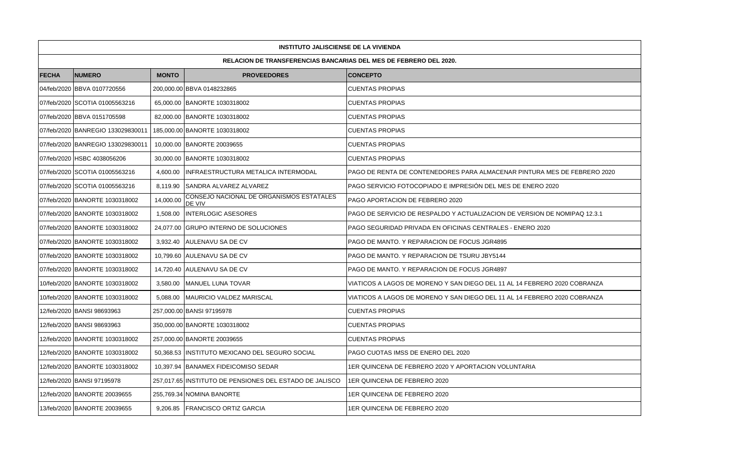|                                                                          | <b>INSTITUTO JALISCIENSE DE LA VIVIENDA</b> |              |                                                         |                                                                           |  |  |  |
|--------------------------------------------------------------------------|---------------------------------------------|--------------|---------------------------------------------------------|---------------------------------------------------------------------------|--|--|--|
| <b>RELACION DE TRANSFERENCIAS BANCARIAS DEL MES DE FEBRERO DEL 2020.</b> |                                             |              |                                                         |                                                                           |  |  |  |
| <b>FECHA</b>                                                             | <b>NUMERO</b>                               | <b>MONTO</b> | <b>PROVEEDORES</b>                                      | <b>CONCEPTO</b>                                                           |  |  |  |
|                                                                          | 04/feb/2020 BBVA 0107720556                 |              | 200,000.00 BBVA 0148232865                              | <b>CUENTAS PROPIAS</b>                                                    |  |  |  |
|                                                                          | 07/feb/2020 SCOTIA 01005563216              |              | 65,000.00 BANORTE 1030318002                            | <b>CUENTAS PROPIAS</b>                                                    |  |  |  |
|                                                                          | 07/feb/2020 BBVA 0151705598                 |              | 82,000.00 BANORTE 1030318002                            | <b>CUENTAS PROPIAS</b>                                                    |  |  |  |
|                                                                          | 07/feb/2020 BANREGIO 133029830011           |              | 185,000.00 BANORTE 1030318002                           | <b>CUENTAS PROPIAS</b>                                                    |  |  |  |
|                                                                          | 07/feb/2020 BANREGIO 133029830011           |              | 10,000.00 BANORTE 20039655                              | <b>CUENTAS PROPIAS</b>                                                    |  |  |  |
|                                                                          | 07/feb/2020 HSBC 4038056206                 |              | 30,000.00 BANORTE 1030318002                            | <b>CUENTAS PROPIAS</b>                                                    |  |  |  |
|                                                                          | 07/feb/2020 SCOTIA 01005563216              | 4.600.00     | IINFRAESTRUCTURA METALICA INTERMODAL                    | PAGO DE RENTA DE CONTENEDORES PARA ALMACENAR PINTURA MES DE FEBRERO 2020  |  |  |  |
|                                                                          | 07/feb/2020 SCOTIA 01005563216              |              | 8,119.90 SANDRA ALVAREZ ALVAREZ                         | PAGO SERVICIO FOTOCOPIADO E IMPRESIÓN DEL MES DE ENERO 2020               |  |  |  |
|                                                                          | 07/feb/2020 BANORTE 1030318002              | 14,000.00    | CONSEJO NACIONAL DE ORGANISMOS ESTATALES<br>DE VIV      | PAGO APORTACION DE FEBRERO 2020                                           |  |  |  |
|                                                                          | 07/feb/2020 BANORTE 1030318002              | 1.508.00     | <b>INTERLOGIC ASESORES</b>                              | PAGO DE SERVICIO DE RESPALDO Y ACTUALIZACION DE VERSION DE NOMIPAQ 12.3.1 |  |  |  |
|                                                                          | 07/feb/2020 BANORTE 1030318002              |              | 24,077.00 GRUPO INTERNO DE SOLUCIONES                   | <b>PAGO SEGURIDAD PRIVADA EN OFICINAS CENTRALES - ENERO 2020</b>          |  |  |  |
|                                                                          | 07/feb/2020 BANORTE 1030318002              |              | 3,932.40 AULENAVU SA DE CV                              | PAGO DE MANTO. Y REPARACION DE FOCUS JGR4895                              |  |  |  |
|                                                                          | 07/feb/2020 BANORTE 1030318002              |              | 10.799.60 IAULENAVU SA DE CV                            | PAGO DE MANTO. Y REPARACION DE TSURU JBY5144                              |  |  |  |
|                                                                          | 07/feb/2020 BANORTE 1030318002              |              | 14,720.40 AULENAVU SA DE CV                             | PAGO DE MANTO. Y REPARACION DE FOCUS JGR4897                              |  |  |  |
|                                                                          | 10/feb/2020 BANORTE 1030318002              |              | 3,580.00 MANUEL LUNA TOVAR                              | VIATICOS A LAGOS DE MORENO Y SAN DIEGO DEL 11 AL 14 FEBRERO 2020 COBRANZA |  |  |  |
|                                                                          | 10/feb/2020 BANORTE 1030318002              | 5,088.00     | MAURICIO VALDEZ MARISCAL                                | VIATICOS A LAGOS DE MORENO Y SAN DIEGO DEL 11 AL 14 FEBRERO 2020 COBRANZA |  |  |  |
|                                                                          | 12/feb/2020 BANSI 98693963                  |              | 257,000.00 BANSI 97195978                               | <b>CUENTAS PROPIAS</b>                                                    |  |  |  |
|                                                                          | 12/feb/2020 BANSI 98693963                  |              | 350,000.00 BANORTE 1030318002                           | <b>CUENTAS PROPIAS</b>                                                    |  |  |  |
|                                                                          | 12/feb/2020 BANORTE 1030318002              |              | 257,000.00 BANORTE 20039655                             | <b>CUENTAS PROPIAS</b>                                                    |  |  |  |
|                                                                          | 12/feb/2020 BANORTE 1030318002              |              | 50,368.53 IINSTITUTO MEXICANO DEL SEGURO SOCIAL         | PAGO CUOTAS IMSS DE ENERO DEL 2020                                        |  |  |  |
|                                                                          | 12/feb/2020 BANORTE 1030318002              |              | 10,397.94 BANAMEX FIDEICOMISO SEDAR                     | 1ER QUINCENA DE FEBRERO 2020 Y APORTACION VOLUNTARIA                      |  |  |  |
|                                                                          | 12/feb/2020 BANSI 97195978                  |              | 257,017.65 INSTITUTO DE PENSIONES DEL ESTADO DE JALISCO | 1ER QUINCENA DE FEBRERO 2020                                              |  |  |  |
|                                                                          | 12/feb/2020 BANORTE 20039655                |              | 255,769.34 NOMINA BANORTE                               | 1ER QUINCENA DE FEBRERO 2020                                              |  |  |  |
|                                                                          | 13/feb/2020 BANORTE 20039655                |              | 9,206.85   FRANCISCO ORTIZ GARCIA                       | 1ER QUINCENA DE FEBRERO 2020                                              |  |  |  |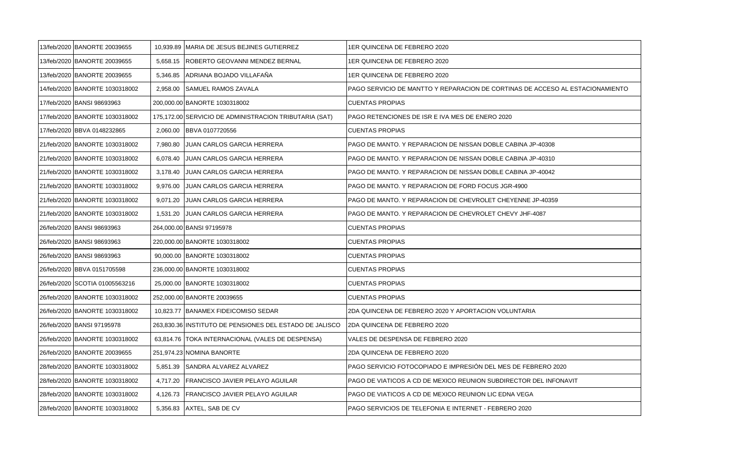| 13/feb/2020 BANORTE 20039655   |          | 10,939.89 MARIA DE JESUS BEJINES GUTIERREZ              | 1ER QUINCENA DE FEBRERO 2020                                                  |
|--------------------------------|----------|---------------------------------------------------------|-------------------------------------------------------------------------------|
| 13/feb/2020 BANORTE 20039655   |          | 5,658.15   ROBERTO GEOVANNI MENDEZ BERNAL               | 1ER QUINCENA DE FEBRERO 2020                                                  |
| 13/feb/2020 BANORTE 20039655   |          | 5,346.85 ADRIANA BOJADO VILLAFAÑA                       | 1ER QUINCENA DE FEBRERO 2020                                                  |
| 14/feb/2020 BANORTE 1030318002 | 2,958.00 | SAMUEL RAMOS ZAVALA                                     | PAGO SERVICIO DE MANTTO Y REPARACION DE CORTINAS DE ACCESO AL ESTACIONAMIENTO |
| 17/feb/2020 BANSI 98693963     |          | 200,000.00 BANORTE 1030318002                           | <b>CUENTAS PROPIAS</b>                                                        |
| 17/feb/2020 BANORTE 1030318002 |          | 175,172.00 SERVICIO DE ADMINISTRACION TRIBUTARIA (SAT)  | PAGO RETENCIONES DE ISR E IVA MES DE ENERO 2020                               |
| 17/feb/2020 BBVA 0148232865    |          | 2,060.00 BBVA 0107720556                                | <b>CUENTAS PROPIAS</b>                                                        |
| 21/feb/2020 BANORTE 1030318002 | 7,980.80 | <b>JUAN CARLOS GARCIA HERRERA</b>                       | PAGO DE MANTO. Y REPARACION DE NISSAN DOBLE CABINA JP-40308                   |
| 21/feb/2020 BANORTE 1030318002 | 6,078.40 | JUAN CARLOS GARCIA HERRERA                              | PAGO DE MANTO. Y REPARACION DE NISSAN DOBLE CABINA JP-40310                   |
| 21/feb/2020 BANORTE 1030318002 | 3,178.40 | <b>JUAN CARLOS GARCIA HERRERA</b>                       | PAGO DE MANTO. Y REPARACION DE NISSAN DOBLE CABINA JP-40042                   |
| 21/feb/2020 BANORTE 1030318002 | 9,976.00 | JUAN CARLOS GARCIA HERRERA                              | PAGO DE MANTO. Y REPARACION DE FORD FOCUS JGR-4900                            |
| 21/feb/2020 BANORTE 1030318002 | 9,071.20 | JUAN CARLOS GARCIA HERRERA                              | PAGO DE MANTO. Y REPARACION DE CHEVROLET CHEYENNE JP-40359                    |
| 21/feb/2020 BANORTE 1030318002 | 1,531.20 | JUAN CARLOS GARCIA HERRERA                              | PAGO DE MANTO. Y REPARACION DE CHEVROLET CHEVY JHF-4087                       |
| 26/feb/2020 BANSI 98693963     |          | 264,000.00 BANSI 97195978                               | <b>CUENTAS PROPIAS</b>                                                        |
| 26/feb/2020 BANSI 98693963     |          | 220,000.00 BANORTE 1030318002                           | <b>CUENTAS PROPIAS</b>                                                        |
| 26/feb/2020 BANSI 98693963     |          | 90,000.00 BANORTE 1030318002                            | <b>CUENTAS PROPIAS</b>                                                        |
| 26/feb/2020 BBVA 0151705598    |          | 236,000.00 BANORTE 1030318002                           | <b>CUENTAS PROPIAS</b>                                                        |
| 26/feb/2020 SCOTIA 01005563216 |          | 25,000.00 BANORTE 1030318002                            | <b>CUENTAS PROPIAS</b>                                                        |
| 26/feb/2020 BANORTE 1030318002 |          | 252,000.00 BANORTE 20039655                             | <b>CUENTAS PROPIAS</b>                                                        |
| 26/feb/2020 BANORTE 1030318002 |          | 10,823.77 BANAMEX FIDEICOMISO SEDAR                     | 2DA QUINCENA DE FEBRERO 2020 Y APORTACION VOLUNTARIA                          |
| 26/feb/2020 BANSI 97195978     |          | 263,830.36 INSTITUTO DE PENSIONES DEL ESTADO DE JALISCO | 2DA QUINCENA DE FEBRERO 2020                                                  |
| 26/feb/2020 BANORTE 1030318002 |          | 63,814.76   TOKA INTERNACIONAL (VALES DE DESPENSA)      | VALES DE DESPENSA DE FEBRERO 2020                                             |
| 26/feb/2020 BANORTE 20039655   |          | 251,974.23 NOMINA BANORTE                               | 2DA QUINCENA DE FEBRERO 2020                                                  |
| 28/feb/2020 BANORTE 1030318002 |          | 5,851.39 SANDRA ALVAREZ ALVAREZ                         | PAGO SERVICIO FOTOCOPIADO E IMPRESIÓN DEL MES DE FEBRERO 2020                 |
| 28/feb/2020 BANORTE 1030318002 | 4,717.20 | <b>FRANCISCO JAVIER PELAYO AGUILAR</b>                  | PAGO DE VIATICOS A CD DE MEXICO REUNION SUBDIRECTOR DEL INFONAVIT             |
| 28/feb/2020 BANORTE 1030318002 |          | 4,126.73   FRANCISCO JAVIER PELAYO AGUILAR              | PAGO DE VIATICOS A CD DE MEXICO REUNION LIC EDNA VEGA                         |
| 28/feb/2020 BANORTE 1030318002 |          | 5,356.83 AXTEL, SAB DE CV                               | PAGO SERVICIOS DE TELEFONIA E INTERNET - FEBRERO 2020                         |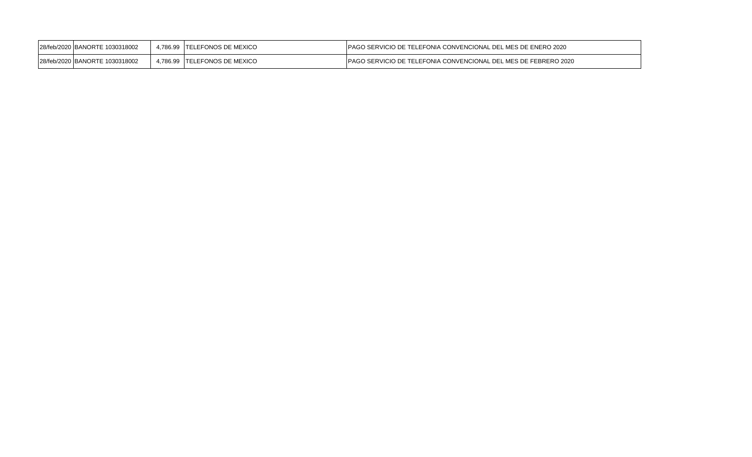| 128/feb/2020 IBANORTE 1030318002 | 4,786.99 TELEFONOS DE MEXICO | <b>IPAGO SERVICIO DE TELEFONIA CONVENCIONAL DEL MES DE ENERO 2020</b>   |
|----------------------------------|------------------------------|-------------------------------------------------------------------------|
| 28/feb/2020 BANORTE 1030318002   | 4.786.99 TELEFONOS DE MEXICO | <b>IPAGO SERVICIO DE TELEFONIA CONVENCIONAL DEL MES DE FEBRERO 2020</b> |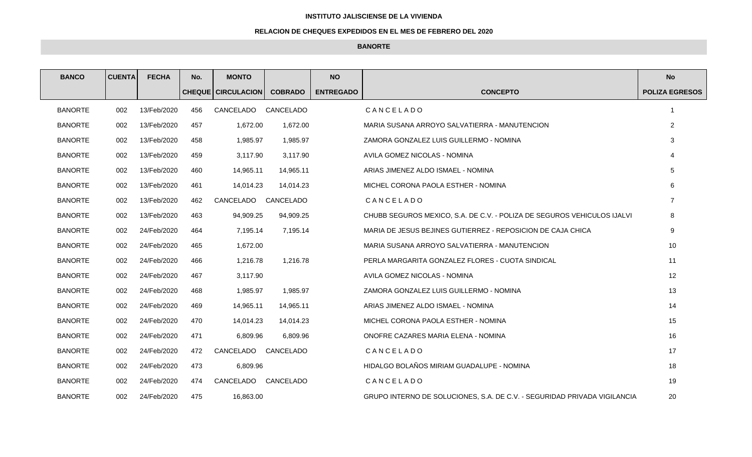## **INSTITUTO JALISCIENSE DE LA VIVIENDA**

## **RELACION DE CHEQUES EXPEDIDOS EN EL MES DE FEBRERO DEL 2020**

## **BANORTE**

| <b>BANCO</b>   | <b>CUENTA</b> | <b>FECHA</b> | No. | <b>MONTO</b>                  |                | <b>NO</b>        |                                                                          | <b>No</b>             |
|----------------|---------------|--------------|-----|-------------------------------|----------------|------------------|--------------------------------------------------------------------------|-----------------------|
|                |               |              |     | <b>CHEQUE   CIRCULACION  </b> | <b>COBRADO</b> | <b>ENTREGADO</b> | <b>CONCEPTO</b>                                                          | <b>POLIZA EGRESOS</b> |
| <b>BANORTE</b> | 002           | 13/Feb/2020  | 456 | CANCELADO                     | CANCELADO      |                  | CANCELADO                                                                |                       |
| <b>BANORTE</b> | 002           | 13/Feb/2020  | 457 | 1,672.00                      | 1,672.00       |                  | MARIA SUSANA ARROYO SALVATIERRA - MANUTENCION                            | $\overline{2}$        |
| <b>BANORTE</b> | 002           | 13/Feb/2020  | 458 | 1,985.97                      | 1,985.97       |                  | ZAMORA GONZALEZ LUIS GUILLERMO - NOMINA                                  | 3                     |
| <b>BANORTE</b> | 002           | 13/Feb/2020  | 459 | 3,117.90                      | 3.117.90       |                  | AVILA GOMEZ NICOLAS - NOMINA                                             | 4                     |
| <b>BANORTE</b> | 002           | 13/Feb/2020  | 460 | 14,965.11                     | 14,965.11      |                  | ARIAS JIMENEZ ALDO ISMAEL - NOMINA                                       | 5                     |
| <b>BANORTE</b> | 002           | 13/Feb/2020  | 461 | 14,014.23                     | 14,014.23      |                  | MICHEL CORONA PAOLA ESTHER - NOMINA                                      | 6                     |
| <b>BANORTE</b> | 002           | 13/Feb/2020  | 462 | CANCELADO                     | CANCELADO      |                  | CANCELADO                                                                | $\overline{7}$        |
| <b>BANORTE</b> | 002           | 13/Feb/2020  | 463 | 94,909.25                     | 94,909.25      |                  | CHUBB SEGUROS MEXICO, S.A. DE C.V. - POLIZA DE SEGUROS VEHICULOS IJALVI  | 8                     |
| <b>BANORTE</b> | 002           | 24/Feb/2020  | 464 | 7,195.14                      | 7,195.14       |                  | MARIA DE JESUS BEJINES GUTIERREZ - REPOSICION DE CAJA CHICA              | 9                     |
| <b>BANORTE</b> | 002           | 24/Feb/2020  | 465 | 1,672.00                      |                |                  | MARIA SUSANA ARROYO SALVATIERRA - MANUTENCION                            | 10                    |
| <b>BANORTE</b> | 002           | 24/Feb/2020  | 466 | 1,216.78                      | 1,216.78       |                  | PERLA MARGARITA GONZALEZ FLORES - CUOTA SINDICAL                         | 11                    |
| <b>BANORTE</b> | 002           | 24/Feb/2020  | 467 | 3.117.90                      |                |                  | AVILA GOMEZ NICOLAS - NOMINA                                             | 12                    |
| <b>BANORTE</b> | 002           | 24/Feb/2020  | 468 | 1,985.97                      | 1,985.97       |                  | ZAMORA GONZALEZ LUIS GUILLERMO - NOMINA                                  | 13                    |
| <b>BANORTE</b> | 002           | 24/Feb/2020  | 469 | 14,965.11                     | 14,965.11      |                  | ARIAS JIMENEZ ALDO ISMAEL - NOMINA                                       | 14                    |
| <b>BANORTE</b> | 002           | 24/Feb/2020  | 470 | 14,014.23                     | 14,014.23      |                  | MICHEL CORONA PAOLA ESTHER - NOMINA                                      | 15                    |
| <b>BANORTE</b> | 002           | 24/Feb/2020  | 471 | 6,809.96                      | 6,809.96       |                  | ONOFRE CAZARES MARIA ELENA - NOMINA                                      | 16                    |
| <b>BANORTE</b> | 002           | 24/Feb/2020  | 472 | CANCELADO                     | CANCELADO      |                  | CANCELADO                                                                | 17                    |
| <b>BANORTE</b> | 002           | 24/Feb/2020  | 473 | 6,809.96                      |                |                  | HIDALGO BOLAÑOS MIRIAM GUADALUPE - NOMINA                                | 18                    |
| <b>BANORTE</b> | 002           | 24/Feb/2020  | 474 | CANCELADO                     | CANCELADO      |                  | CANCELADO                                                                | 19                    |
| <b>BANORTE</b> | 002           | 24/Feb/2020  | 475 | 16,863.00                     |                |                  | GRUPO INTERNO DE SOLUCIONES, S.A. DE C.V. - SEGURIDAD PRIVADA VIGILANCIA | 20                    |